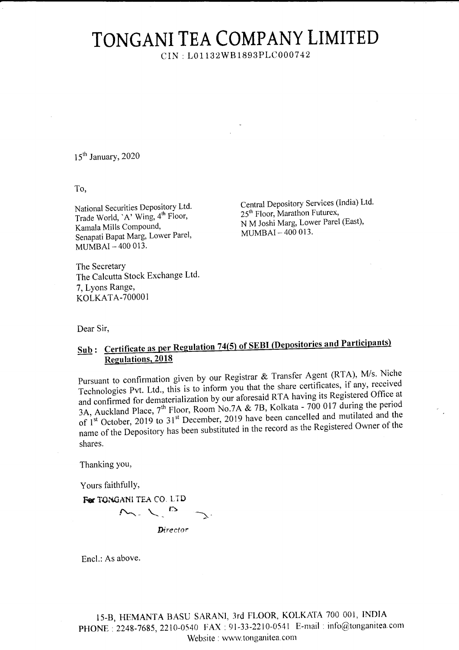## TONGANI TEA COMPANY LIMITED

CIN: L01132WB1893PLC000742

15<sup>th</sup> January, 2020

To,

National Securities Depository Ltd. Trade World, `A' Wing, 4<sup>th</sup> Floor, Kamala Mills Compound, Senapati Bapat Marg, Lower Parel, MUMBAI-400 013.

The Secretary The Calcutta Stock Exchange Ltd. 7, Lyons Range, KOLKATA-700001

Central Depository Services (India) Ltd. 25<sup>th</sup> Floor, Marathon Futurex, N M Joshi Marg, Lower Parel (East), MUMBAI-400 013.

Dear Sir,

## Sub: Certificate as per Regulation 74(5) of SEBI (Depositories and Participants) **Regulations, 2018**

Pursuant to confirmation given by our Registrar & Transfer Agent (RTA), M/s. Niche Technologies Pvt. Ltd., this is to inform you that the share certificates, if any, received and confirmed for dematerialization by our aforesaid RTA having its Registered Office at 3A, Auckland Place, 7<sup>th</sup> Floor, Room No.7A & 7B, Kolkata - 700 017 during the period of 1<sup>st</sup> October, 2019 to 31<sup>st</sup> December, 2019 have been cancelled and mutilated and the name of the Depository has been substituted in the record as the Registered Owner of the shares.

Thanking you,

Yours faithfully,

For TONGANI TEA CO. LTD M.L.B

Director

Encl.: As above.

15-B, HEMANTA BASU SARANI, 3rd FLOOR, KOLKATA 700 001, INDIA PHONE: 2248-7685, 2210-0540 FAX: 91-33-2210-0541 E-mail: info@tonganitea.com Website : www.tonganitea.com